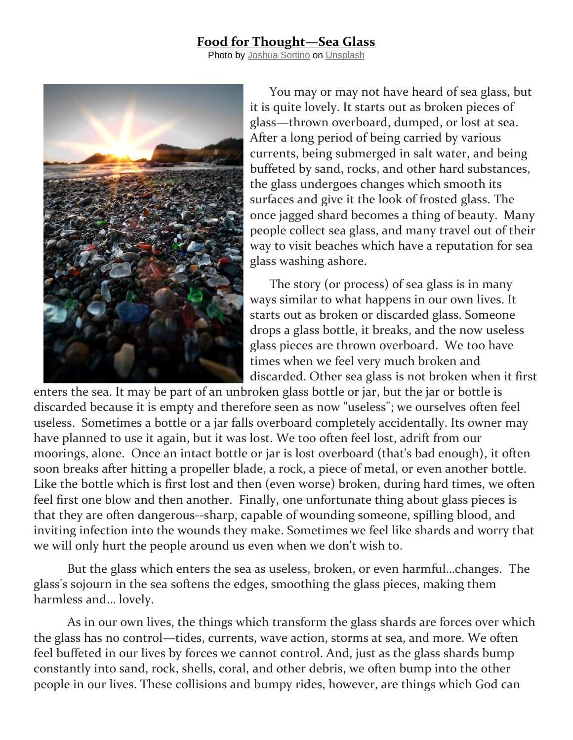## **Food for Thought—Sea Glass**

Photo by [Joshua Sortino](https://unsplash.com/@sortino?utm_source=unsplash&utm_medium=referral&utm_content=creditCopyText) on [Unsplash](https://unsplash.com/s/photos/sea-glass?utm_source=unsplash&utm_medium=referral&utm_content=creditCopyText)



 You may or may not have heard of sea glass, but it is quite lovely. It starts out as broken pieces of glass—thrown overboard, dumped, or lost at sea. After a long period of being carried by various currents, being submerged in salt water, and being buffeted by sand, rocks, and other hard substances, the glass undergoes changes which smooth its surfaces and give it the look of frosted glass. The once jagged shard becomes a thing of beauty. Many people collect sea glass, and many travel out of their way to visit beaches which have a reputation for sea glass washing ashore.

The story (or process) of sea glass is in many ways similar to what happens in our own lives. It starts out as broken or discarded glass. Someone drops a glass bottle, it breaks, and the now useless glass pieces are thrown overboard. We too have times when we feel very much broken and discarded. Other sea glass is not broken when it first

enters the sea. It may be part of an unbroken glass bottle or jar, but the jar or bottle is discarded because it is empty and therefore seen as now "useless"; we ourselves often feel useless. Sometimes a bottle or a jar falls overboard completely accidentally. Its owner may have planned to use it again, but it was lost. We too often feel lost, adrift from our moorings, alone. Once an intact bottle or jar is lost overboard (that's bad enough), it often soon breaks after hitting a propeller blade, a rock, a piece of metal, or even another bottle. Like the bottle which is first lost and then (even worse) broken, during hard times, we often feel first one blow and then another. Finally, one unfortunate thing about glass pieces is that they are often dangerous--sharp, capable of wounding someone, spilling blood, and inviting infection into the wounds they make. Sometimes we feel like shards and worry that we will only hurt the people around us even when we don't wish to.

But the glass which enters the sea as useless, broken, or even harmful…changes. The glass's sojourn in the sea softens the edges, smoothing the glass pieces, making them harmless and… lovely.

As in our own lives, the things which transform the glass shards are forces over which the glass has no control—tides, currents, wave action, storms at sea, and more. We often feel buffeted in our lives by forces we cannot control. And, just as the glass shards bump constantly into sand, rock, shells, coral, and other debris, we often bump into the other people in our lives. These collisions and bumpy rides, however, are things which God can